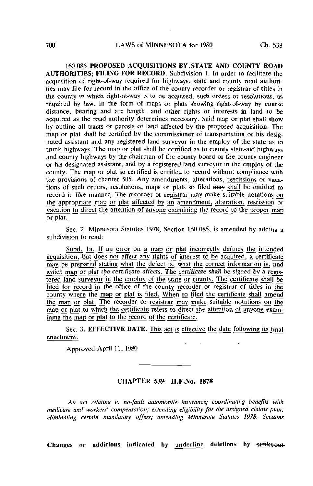160.085 PROPOSED ACQUISITIONS BY.STATE AND COUNTY ROAD AUTHORITIES; FILING FOR RECORD. Subdivision 1. In order to facilitate the acquisition of right-of-way required for highways, state and county road authorities may file for record in the office of the county recorder or registrar of titles in the county in which right-of-way is to be acquired, such orders or resolutions, as required by law, in the form of maps or plats showing right-of-way by course distance, bearing and arc length, and other rights or interests in land to be acquired as the road authority determines necessary. Said map or plat shall show by outline all tracts or parcels of land affected by the proposed acquisition. The map or plat shall be certified by the commissioner of transportation or his designated assistant and any registered land surveyor in the employ of the state as to trunk highways. The map or plat shall be certified as to county state-aid highways and county highways by the chairman of the county board or the county engineer or his designated assistant, and by a registered land surveyor in the employ of the county. The map or plat so certified is entitled to record without compliance with the provisions of chapter 505. Any amendments, alterations, rescissions or vacations of such orders, resolutions, maps or plats so filed may shall be entitled to record in like manner. The recorder or registrar may make suitable notations on the appropriate map or plat affected by an amendment, alteration, rescission or vacation to direct the attention of anyone examining the record to the proper map or plat.

Sec. 2. Minnesota Statutes 1978, Section 160.085, is amended by adding a subdivision to read:

Subd. Ia. If an error on a map or plat incorrectly defines the intended acquisition, but does not affect any rights of interest to be acquired, a certificate may be prepared stating what the defect is, what the correct information is, and which map or plat the certificate affects. The certificate shall be signed by a registered land surveyor in the employ of the state or county. The certificate shall be filed for record in the office of the county recorder or registrar of titles in the county where the map or plat is filed. When so filed the certificate shall amend the map or plat. The recorder or registrar may make suitable notations on the map or plat to which the certificate refers to direct the attention of anyone examining the map or plat to the record of the certificate.

Sec. 3. EFFECTIVE DATE. This act is effective the date following its final enactment.

Approved April 11, 1980

## CHAPTER 539—H.F.No. 1878

An act relating to no-fault automobile insurance; coordinating benefits with medicare and workers' compensation; extending eligibility for the assigned claims plan; eliminating certain mandatory offers; amending Minnesota Statutes 1978, Sections

Changes or additions indicated by underline deletions by strikeout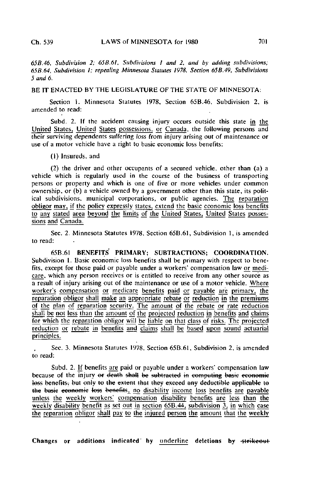65B.46, Subdivision 2; 65B.6I, Subdivisions I and 2, and by adding subdivisions; 65B.64, Subdivision I; repealing Minnesota Statutes 1978, Section 65B.49, Subdivisions 5 and 6.

BE IT ENACTED BY THE LEGISLATURE OF THE STATE OF MINNESOTA:

Section i. Minnesota Statutes 1978, Section 65B.46. Subdivision 2, is amended to read:

Subd. 2. If the accident causing injury occurs outside this state in the United States, United States possessions, or Canada, the following persons and their surviving dependents suffering loss from injury arising out of maintenance or use of a motor vehicle have a right to basic economic loss benefits:

(1) Insureds, and

(2) the driver and other occupants of a secured vehicle, other than (a) a vehicle which is regularly used in the course of the business of transporting persons or property and which is one of five or more vehicles under common ownership, or (b) a vehicle owned by a government other than this state, its political subdivisions, municipal corporations, or public agencies. The reparation obligor may, if the policy expressly states, extend the basic economic loss benefits to any stated area beyond the limits of the United States, United States possessions and Canada.

Sec. 2. Minnesota Statutes 1978, Section 65B.61, Subdivision 1, is amended to read:

65B.61 BENEFITS PRIMARY; SUBTRACTIONS; COORDINATION. Subdivision 1. Basic economic loss benefits shall be primary with respect to benefits, except for those paid or payable under a workers' compensation law or medicare, which any person receives or is entitled to receive from any other source as a result of injury arising out of the maintenance or use of a motor vehicle. Where worker's compensation or medicare benefits paid or payable are primary, the reparation obligor shall make an appropriate rebate or reduction in the premiums of the plan of reparation security. The amount of the rebate or rate reduction shall be not less than the amount of the projected reduction in benefits and claims for which the reparation obligor will be liable on that class of risks. The projected reduction or rebate in benefits and claims shall be based upon sound actuarial principles.

Sec. 3. Minnesota Statutes 1978. Section 65B.61. Subdivision 2. is amended to read:

Subd. 2. If benefits are paid or payable under a workers' compensation law because of the injury <del>or death shall be subtracted in computing basic economic</del> loss benefits, but only to the extent that they exceed any deductible applicable to the basic economic loss benefits, no disability income loss benefits are payable unless the weekly workers' compensation disability benefits are less than the weekly disability benefit as set out in section  $65B.44$ , subdivision 3, in which case the reparation obligor shall pay to the injured person the amount that the weekly

Changes or additions indicated' by underline deletions by strikeout